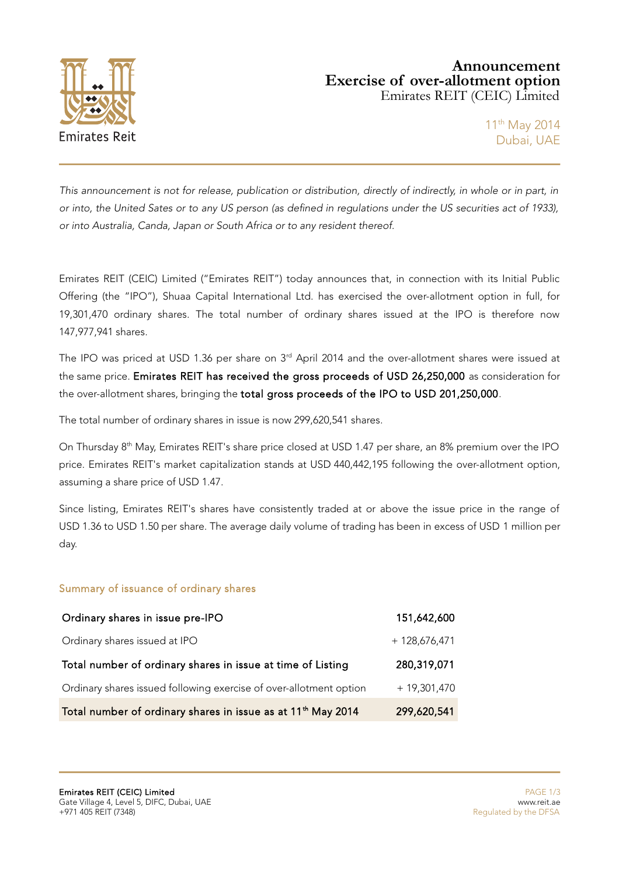

## **Announcement Exercise of over-allotment option** Emirates REIT (CEIC) Limited

This announcement is not for release, publication or distribution, directly of indirectly, in whole or in part, in or into, the United Sates or to any US person (as defined in regulations under the US securities act of 1933), or into Australia, Canda, Japan or South Africa or to any resident thereof.

Emirates REIT (CEIC) Limited ("Emirates REIT") today announces that, in connection with its Initial Public Offering (the "IPO"), Shuaa Capital International Ltd. has exercised the over-allotment option in full, for 19,301,470 ordinary shares. The total number of ordinary shares issued at the IPO is therefore now 147,977,941 shares.

The IPO was priced at USD 1.36 per share on 3<sup>rd</sup> April 2014 and the over-allotment shares were issued at the same price. Emirates REIT has received the gross proceeds of USD 26,250,000 as consideration for the over-allotment shares, bringing the total gross proceeds of the IPO to USD 201,250,000.

The total number of ordinary shares in issue is now 299,620,541 shares.

On Thursday  $8<sup>th</sup>$  May, Emirates REIT's share price closed at USD 1.47 per share, an 8% premium over the IPO price. Emirates REIT's market capitalization stands at USD 440,442,195 following the over-allotment option, assuming a share price of USD 1.47.

Since listing, Emirates REIT's shares have consistently traded at or above the issue price in the range of USD 1.36 to USD 1.50 per share. The average daily volume of trading has been in excess of USD 1 million per day.

## Summary of issuance of ordinary shares

| Ordinary shares in issue pre-IPO                                         | 151,642,600     |
|--------------------------------------------------------------------------|-----------------|
| Ordinary shares issued at IPO                                            | $+ 128,676,471$ |
| Total number of ordinary shares in issue at time of Listing              | 280,319,071     |
| Ordinary shares issued following exercise of over-allotment option       | $+19,301,470$   |
| Total number of ordinary shares in issue as at 11 <sup>th</sup> May 2014 | 299,620,541     |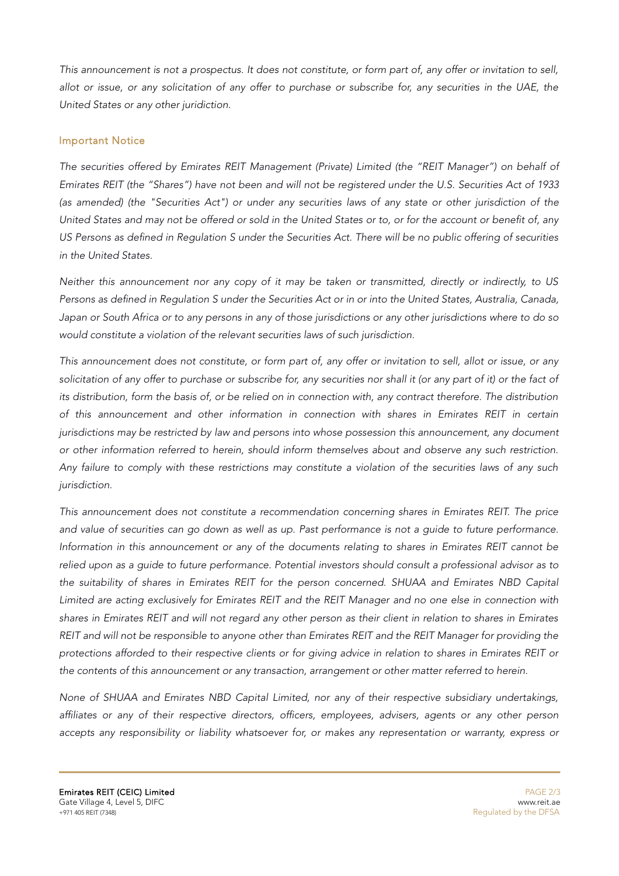This announcement is not a prospectus. It does not constitute, or form part of, any offer or invitation to sell, allot or issue, or any solicitation of any offer to purchase or subscribe for, any securities in the UAE, the United States or any other juridiction.

## Important Notice

The securities offered by Emirates REIT Management (Private) Limited (the "REIT Manager") on behalf of Emirates REIT (the "Shares") have not been and will not be registered under the U.S. Securities Act of 1933 (as amended) (the "Securities Act") or under any securities laws of any state or other jurisdiction of the United States and may not be offered or sold in the United States or to, or for the account or benefit of, any US Persons as defined in Regulation S under the Securities Act. There will be no public offering of securities in the United States.

Neither this announcement nor any copy of it may be taken or transmitted, directly or indirectly, to US Persons as defined in Regulation S under the Securities Act or in or into the United States, Australia, Canada, Japan or South Africa or to any persons in any of those jurisdictions or any other jurisdictions where to do so would constitute a violation of the relevant securities laws of such jurisdiction.

This announcement does not constitute, or form part of, any offer or invitation to sell, allot or issue, or any solicitation of any offer to purchase or subscribe for, any securities nor shall it (or any part of it) or the fact of its distribution, form the basis of, or be relied on in connection with, any contract therefore. The distribution of this announcement and other information in connection with shares in Emirates REIT in certain jurisdictions may be restricted by law and persons into whose possession this announcement, any document or other information referred to herein, should inform themselves about and observe any such restriction. Any failure to comply with these restrictions may constitute a violation of the securities laws of any such jurisdiction.

This announcement does not constitute a recommendation concerning shares in Emirates REIT. The price and value of securities can go down as well as up. Past performance is not a guide to future performance. Information in this announcement or any of the documents relating to shares in Emirates REIT cannot be relied upon as a guide to future performance. Potential investors should consult a professional advisor as to the suitability of shares in Emirates REIT for the person concerned. SHUAA and Emirates NBD Capital Limited are acting exclusively for Emirates REIT and the REIT Manager and no one else in connection with shares in Emirates REIT and will not regard any other person as their client in relation to shares in Emirates REIT and will not be responsible to anyone other than Emirates REIT and the REIT Manager for providing the protections afforded to their respective clients or for giving advice in relation to shares in Emirates REIT or the contents of this announcement or any transaction, arrangement or other matter referred to herein.

None of SHUAA and Emirates NBD Capital Limited, nor any of their respective subsidiary undertakings, affiliates or any of their respective directors, officers, employees, advisers, agents or any other person accepts any responsibility or liability whatsoever for, or makes any representation or warranty, express or